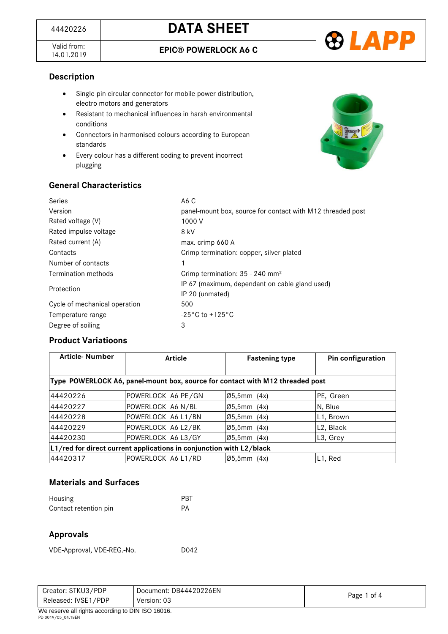

### **Description**

- Single-pin circular connector for mobile power distribution, electro motors and generators
- Resistant to mechanical influences in harsh environmental conditions
- Connectors in harmonised colours according to European standards
- Every colour has a different coding to prevent incorrect plugging



### **General Characteristics**

| Series                        | A6 C                                                       |
|-------------------------------|------------------------------------------------------------|
| Version                       | panel-mount box, source for contact with M12 threaded post |
| Rated voltage (V)             | 1000 V                                                     |
| Rated impulse voltage         | 8 kV                                                       |
| Rated current (A)             | max. crimp 660 A                                           |
| Contacts                      | Crimp termination: copper, silver-plated                   |
| Number of contacts            | 1                                                          |
| Termination methods           | Crimp termination: $35 - 240$ mm <sup>2</sup>              |
| Protection                    | IP 67 (maximum, dependant on cable gland used)             |
|                               | IP 20 (unmated)                                            |
| Cycle of mechanical operation | 500                                                        |
| Temperature range             | $-25\degree$ C to $+125\degree$ C                          |
| Degree of soiling             | 3                                                          |

### **Product Variatioons**

| <b>Article-Number</b> | <b>Article</b>                                                                | <b>Fastening type</b>      | Pin configuration      |
|-----------------------|-------------------------------------------------------------------------------|----------------------------|------------------------|
|                       | Type POWERLOCK A6, panel-mount box, source for contact with M12 threaded post |                            |                        |
| 44420226              | POWERLOCK A6 PE/GN                                                            | Ø5.5mm (4x)                | PE, Green              |
| 44420227              | POWERLOCK A6 N/BL                                                             | $\varnothing$ 5,5mm $(4x)$ | N, Blue                |
| 44420228              | POWERLOCK A6 L1/BN                                                            | $ 05,5$ mm $(4x)$          | L <sub>1</sub> , Brown |
| 44420229              | POWERLOCK A6 L2/BK                                                            | $\varnothing$ 5,5mm $(4x)$ | L2, Black              |
| 44420230              | POWERLOCK A6 L3/GY                                                            | $ 05,5$ mm $(4x)$          | L <sub>3</sub> , Grey  |
|                       | L1/red for direct current applications in conjunction with L2/black           |                            |                        |
| 44420317              | POWERLOCK A6 L1/RD                                                            | $\varnothing$ 5,5mm $(4x)$ | L <sub>1</sub> , Red   |

## **Materials and Surfaces**

| Housing               | PBT |
|-----------------------|-----|
| Contact retention pin | PА  |

### **Approvals**

VDE-Approval, VDE-REG.-No. D042

| Released: IVSE1/PDP | Version: 03                                      | Page 1 of 4 |
|---------------------|--------------------------------------------------|-------------|
| $\cdots$<br>.       | $\sim$ $\sim$ $\sim$ $\sim$ $\sim$ $\sim$ $\sim$ |             |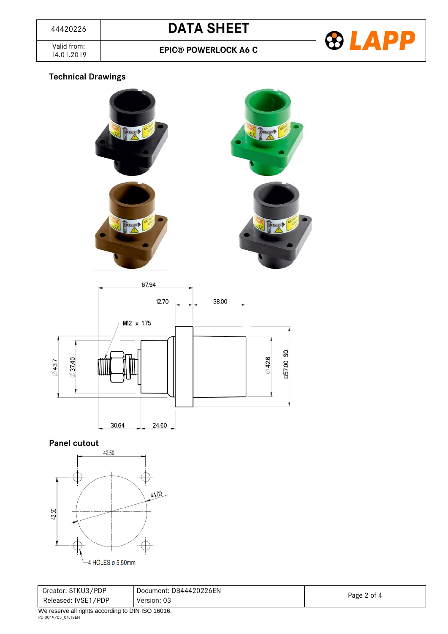

**EPIC® POWERLOCK A6 C** 

## **Technical Drawings**







## **Panel cutout**



| Creator: STKU3/PDP                                                                                                                                                                                                                                                                                          | Document: DB44420226EN |             |
|-------------------------------------------------------------------------------------------------------------------------------------------------------------------------------------------------------------------------------------------------------------------------------------------------------------|------------------------|-------------|
| Released: IVSE1/PDP<br>Version: 03                                                                                                                                                                                                                                                                          |                        | Page 2 of 4 |
| $\mathbf{u}$ , $\mathbf{u}$ , $\mathbf{u}$ , $\mathbf{u}$ , $\mathbf{u}$ , $\mathbf{u}$ , $\mathbf{u}$ , $\mathbf{u}$ , $\mathbf{u}$ , $\mathbf{u}$ , $\mathbf{u}$ , $\mathbf{u}$ , $\mathbf{u}$ , $\mathbf{u}$ , $\mathbf{u}$ , $\mathbf{u}$ , $\mathbf{u}$ , $\mathbf{u}$ , $\mathbf{u}$ , $\mathbf{u}$ , |                        |             |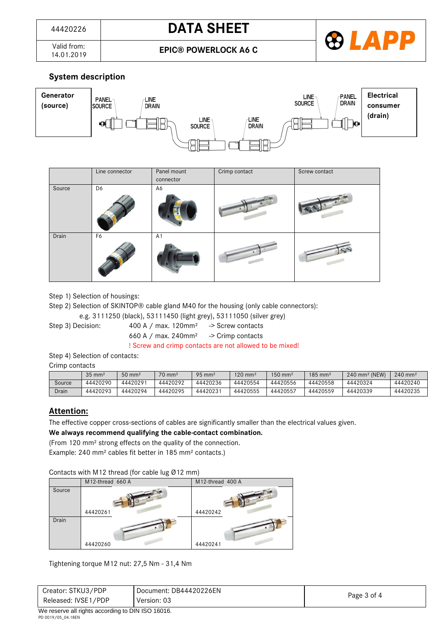**EPIC® POWERLOCK A6 C** 



# **System description**



|        | Line connector | Panel mount    | Crimp contact | Screw contact |
|--------|----------------|----------------|---------------|---------------|
|        |                | connector      |               |               |
| Source | D6             | A6             |               |               |
|        |                |                |               |               |
| Drain  | F6             | A <sub>1</sub> |               |               |

Step 1) Selection of housings:

Step 2) Selection of SKINTOP® cable gland M40 for the housing (only cable connectors):

e.g. 3111250 (black), 53111450 (light grey), 53111050 (silver grey)

Step 3) Decision: 400 A / max. 120mm<sup>2</sup> -> Screw contacts

660 A / max.  $240$ mm<sup>2</sup> -> Crimp contacts

! Screw and crimp contacts are not allowed to be mixed!

Step 4) Selection of contacts:

Crimp contacts

|        | $35 \text{ mm}^2$ | $50 \text{ mm}^2$ | $70 \text{ mm}^2$ | $95 \text{ mm}^2$ | $120 \text{ mm}^2$ | $150$ mm <sup>2</sup> | $185$ mm <sup>2</sup> | 240 mm <sup>2</sup> (NEW) | $240 \, \text{mm}^2$ |
|--------|-------------------|-------------------|-------------------|-------------------|--------------------|-----------------------|-----------------------|---------------------------|----------------------|
| Source | 44420290          | 44420291          | 44420292          | 44420236          | 44420554           | 44420556              | 44420558              | 44420324                  | 44420240             |
| Drain  | 44420293          | 44420294          | 44420295          | 44420231          | 44420555           | 44420557              | 44420559              | 44420339                  | 44420235             |

### **Attention:**

The effective copper cross-sections of cables are significantly smaller than the electrical values given.

**We always recommend qualifying the cable-contact combination.**

(From 120 mm² strong effects on the quality of the connection.

Example: 240 mm² cables fit better in 185 mm² contacts.)

Contacts with M12 thread (for cable lug Ø12 mm)

|        | M12-thread 660 A | M12-thread 400 A |
|--------|------------------|------------------|
| Source |                  |                  |
|        | 44420261         | 44420242         |
| Drain  | 44420260         | 44420241         |

Tightening torque M12 nut: 27,5 Nm - 31,4 Nm

| Creator: STKU3/PDP  | Document: DB44420226EN |             |
|---------------------|------------------------|-------------|
| Released: IVSE1/PDP | Version: 03            | Page 3 of 4 |